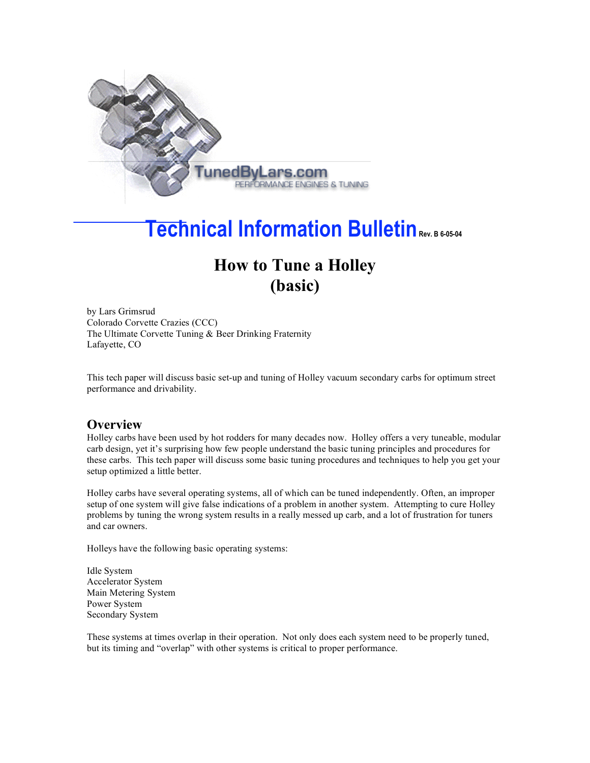

# **Technical Information Bulletin Rev. <sup>B</sup> 6-05-04**

## **How to Tune a Holley (basic)**

by Lars Grimsrud Colorado Corvette Crazies (CCC) The Ultimate Corvette Tuning & Beer Drinking Fraternity Lafayette, CO

This tech paper will discuss basic set-up and tuning of Holley vacuum secondary carbs for optimum street performance and drivability.

### **Overview**

Holley carbs have been used by hot rodders for many decades now. Holley offers a very tuneable, modular carb design, yet it's surprising how few people understand the basic tuning principles and procedures for these carbs. This tech paper will discuss some basic tuning procedures and techniques to help you get your setup optimized a little better.

Holley carbs have several operating systems, all of which can be tuned independently. Often, an improper setup of one system will give false indications of a problem in another system. Attempting to cure Holley problems by tuning the wrong system results in a really messed up carb, and a lot of frustration for tuners and car owners.

Holleys have the following basic operating systems:

Idle System Accelerator System Main Metering System Power System Secondary System

These systems at times overlap in their operation. Not only does each system need to be properly tuned, but its timing and "overlap" with other systems is critical to proper performance.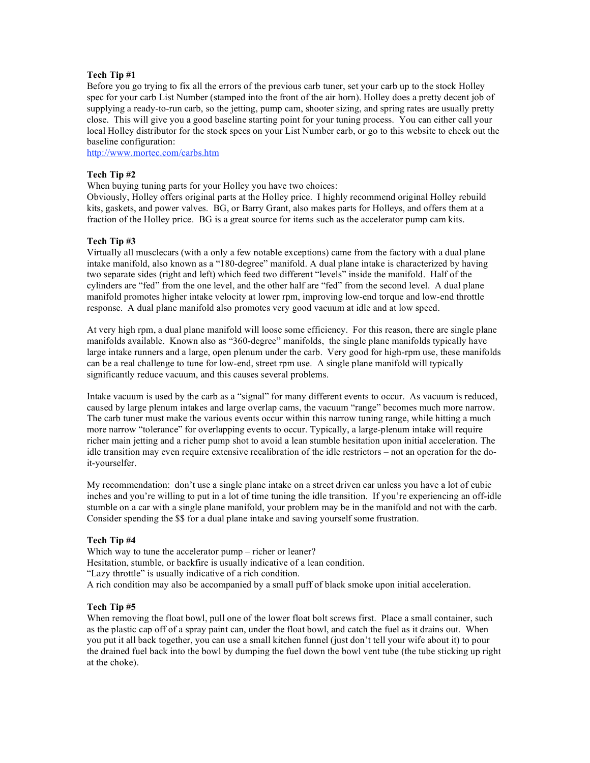### **Tech Tip #1**

Before you go trying to fix all the errors of the previous carb tuner, set your carb up to the stock Holley spec for your carb List Number (stamped into the front of the air horn). Holley does a pretty decent job of supplying a ready-to-run carb, so the jetting, pump cam, shooter sizing, and spring rates are usually pretty close. This will give you a good baseline starting point for your tuning process. You can either call your local Holley distributor for the stock specs on your List Number carb, or go to this website to check out the baseline configuration:

http://www.mortec.com/carbs.htm

### **Tech Tip #2**

When buying tuning parts for your Holley you have two choices:

Obviously, Holley offers original parts at the Holley price. I highly recommend original Holley rebuild kits, gaskets, and power valves. BG, or Barry Grant, also makes parts for Holleys, and offers them at a fraction of the Holley price. BG is a great source for items such as the accelerator pump cam kits.

### **Tech Tip #3**

Virtually all musclecars (with a only a few notable exceptions) came from the factory with a dual plane intake manifold, also known as a "180-degree" manifold. A dual plane intake is characterized by having two separate sides (right and left) which feed two different "levels" inside the manifold. Half of the cylinders are "fed" from the one level, and the other half are "fed" from the second level. A dual plane manifold promotes higher intake velocity at lower rpm, improving low-end torque and low-end throttle response. A dual plane manifold also promotes very good vacuum at idle and at low speed.

At very high rpm, a dual plane manifold will loose some efficiency. For this reason, there are single plane manifolds available. Known also as "360-degree" manifolds, the single plane manifolds typically have large intake runners and a large, open plenum under the carb. Very good for high-rpm use, these manifolds can be a real challenge to tune for low-end, street rpm use. A single plane manifold will typically significantly reduce vacuum, and this causes several problems.

Intake vacuum is used by the carb as a "signal" for many different events to occur. As vacuum is reduced, caused by large plenum intakes and large overlap cams, the vacuum "range" becomes much more narrow. The carb tuner must make the various events occur within this narrow tuning range, while hitting a much more narrow "tolerance" for overlapping events to occur. Typically, a large-plenum intake will require richer main jetting and a richer pump shot to avoid a lean stumble hesitation upon initial acceleration. The idle transition may even require extensive recalibration of the idle restrictors – not an operation for the doit-yourselfer.

My recommendation: don't use a single plane intake on a street driven car unless you have a lot of cubic inches and you're willing to put in a lot of time tuning the idle transition. If you're experiencing an off-idle stumble on a car with a single plane manifold, your problem may be in the manifold and not with the carb. Consider spending the \$\$ for a dual plane intake and saving yourself some frustration.

### **Tech Tip #4**

Which way to tune the accelerator pump – richer or leaner? Hesitation, stumble, or backfire is usually indicative of a lean condition. "Lazy throttle" is usually indicative of a rich condition. A rich condition may also be accompanied by a small puff of black smoke upon initial acceleration.

### **Tech Tip #5**

When removing the float bowl, pull one of the lower float bolt screws first. Place a small container, such as the plastic cap off of a spray paint can, under the float bowl, and catch the fuel as it drains out. When you put it all back together, you can use a small kitchen funnel (just don't tell your wife about it) to pour the drained fuel back into the bowl by dumping the fuel down the bowl vent tube (the tube sticking up right at the choke).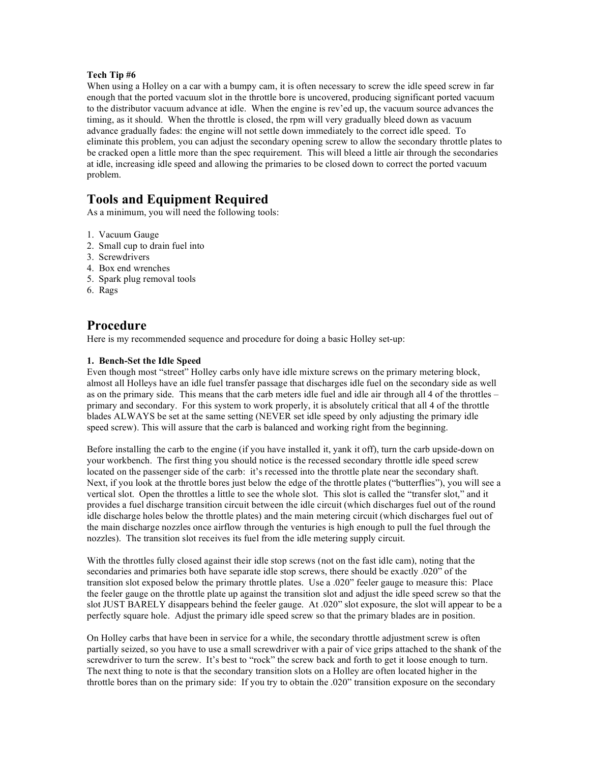### **Tech Tip #6**

When using a Holley on a car with a bumpy cam, it is often necessary to screw the idle speed screw in far enough that the ported vacuum slot in the throttle bore is uncovered, producing significant ported vacuum to the distributor vacuum advance at idle. When the engine is rev'ed up, the vacuum source advances the timing, as it should. When the throttle is closed, the rpm will very gradually bleed down as vacuum advance gradually fades: the engine will not settle down immediately to the correct idle speed. To eliminate this problem, you can adjust the secondary opening screw to allow the secondary throttle plates to be cracked open a little more than the spec requirement. This will bleed a little air through the secondaries at idle, increasing idle speed and allowing the primaries to be closed down to correct the ported vacuum problem.

### **Tools and Equipment Required**

As a minimum, you will need the following tools:

- 1. Vacuum Gauge
- 2. Small cup to drain fuel into
- 3. Screwdrivers
- 4. Box end wrenches
- 5. Spark plug removal tools
- 6. Rags

### **Procedure**

Here is my recommended sequence and procedure for doing a basic Holley set-up:

### **1. Bench-Set the Idle Speed**

Even though most "street" Holley carbs only have idle mixture screws on the primary metering block, almost all Holleys have an idle fuel transfer passage that discharges idle fuel on the secondary side as well as on the primary side. This means that the carb meters idle fuel and idle air through all 4 of the throttles – primary and secondary. For this system to work properly, it is absolutely critical that all 4 of the throttle blades ALWAYS be set at the same setting (NEVER set idle speed by only adjusting the primary idle speed screw). This will assure that the carb is balanced and working right from the beginning.

Before installing the carb to the engine (if you have installed it, yank it off), turn the carb upside-down on your workbench. The first thing you should notice is the recessed secondary throttle idle speed screw located on the passenger side of the carb: it's recessed into the throttle plate near the secondary shaft. Next, if you look at the throttle bores just below the edge of the throttle plates ("butterflies"), you will see a vertical slot. Open the throttles a little to see the whole slot. This slot is called the "transfer slot," and it provides a fuel discharge transition circuit between the idle circuit (which discharges fuel out of the round idle discharge holes below the throttle plates) and the main metering circuit (which discharges fuel out of the main discharge nozzles once airflow through the venturies is high enough to pull the fuel through the nozzles). The transition slot receives its fuel from the idle metering supply circuit.

With the throttles fully closed against their idle stop screws (not on the fast idle cam), noting that the secondaries and primaries both have separate idle stop screws, there should be exactly .020" of the transition slot exposed below the primary throttle plates. Use a .020" feeler gauge to measure this: Place the feeler gauge on the throttle plate up against the transition slot and adjust the idle speed screw so that the slot JUST BARELY disappears behind the feeler gauge. At .020" slot exposure, the slot will appear to be a perfectly square hole. Adjust the primary idle speed screw so that the primary blades are in position.

On Holley carbs that have been in service for a while, the secondary throttle adjustment screw is often partially seized, so you have to use a small screwdriver with a pair of vice grips attached to the shank of the screwdriver to turn the screw. It's best to "rock" the screw back and forth to get it loose enough to turn. The next thing to note is that the secondary transition slots on a Holley are often located higher in the throttle bores than on the primary side: If you try to obtain the .020" transition exposure on the secondary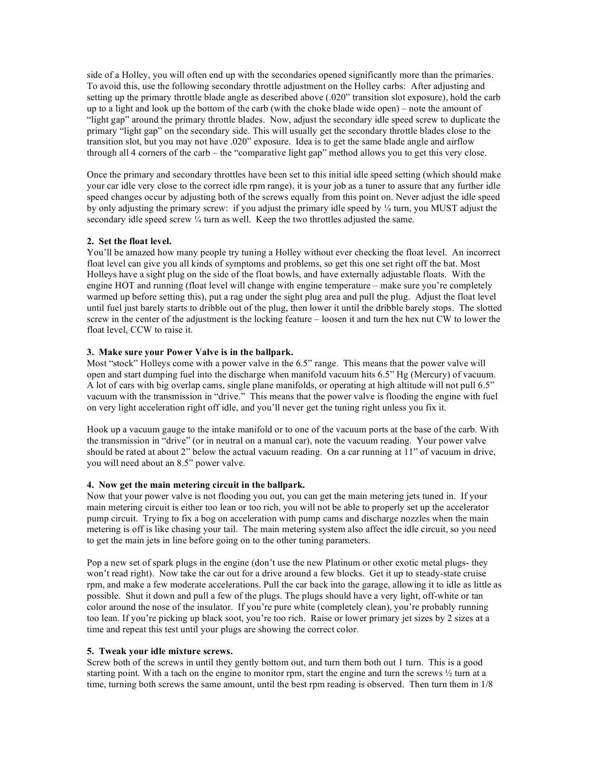side of a Holley, you will often end up with the secondaries opened significantly more than the primaries. To avoid this, use the following secondary throttle adjustment on the Holley carbs: After adjusting and setting up the primary throttle blade angle as described above (.020" transition slot exposure), hold the carb up to a light and look up the bottom of the carb (with the choke blade wide open) – note the amount of "light gap" around the primary throttle blades. Now, adjust the secondary idle speed screw to duplicate the primary "light gap" on the secondary side. This will usually get the secondary throttle blades close to the transition slot, but you may not have .020" exposure. Idea is to get the same blade angle and airflow through all 4 corners of the carb – the "comparative light gap" method allows you to get this very close.

Once the primary and secondary throttles have been set to this initial idle speed setting (which should make your car idle very close to the correct idle rpm range), it is your job as a tuner to assure that any further idle speed changes occur by adjusting both of the screws equally from this point on. Never adjust the idle speed by only adjusting the primary screw: if you adjust the primary idle speed by  $\frac{1}{4}$  turn, you MUST adjust the secondary idle speed screw  $\frac{1}{4}$  turn as well. Keep the two throttles adjusted the same.

### **2. Set the float level.**

You'll be amazed how many people try tuning a Holley without ever checking the float level. An incorrect float level can give you all kinds of symptoms and problems, so get this one set right off the bat. Most Holleys have a sight plug on the side of the float bowls, and have externally adjustable floats. With the engine HOT and running (float level will change with engine temperature – make sure you're completely warmed up before setting this), put a rag under the sight plug area and pull the plug. Adjust the float level until fuel just barely starts to dribble out of the plug, then lower it until the dribble barely stops. The slotted screw in the center of the adjustment is the locking feature – loosen it and turn the hex nut CW to lower the float level, CCW to raise it.

### **3. Make sure your Power Valve is in the ballpark.**

Most "stock" Holleys come with a power valve in the 6.5" range. This means that the power valve will open and start dumping fuel into the discharge when manifold vacuum hits 6.5" Hg (Mercury) of vacuum. A lot of cars with big overlap cams, single plane manifolds, or operating at high altitude will not pull 6.5" vacuum with the transmission in "drive." This means that the power valve is flooding the engine with fuel on very light acceleration right off idle, and you'll never get the tuning right unless you fix it.

Hook up a vacuum gauge to the intake manifold or to one of the vacuum ports at the base of the carb. With the transmission in "drive" (or in neutral on a manual car), note the vacuum reading. Your power valve should be rated at about 2" below the actual vacuum reading. On a car running at 11" of vacuum in drive, you will need about an 8.5" power valve.

### **4. Now get the main metering circuit in the ballpark.**

Now that your power valve is not flooding you out, you can get the main metering jets tuned in. If your main metering circuit is either too lean or too rich, you will not be able to properly set up the accelerator pump circuit. Trying to fix a bog on acceleration with pump cams and discharge nozzles when the main metering is off is like chasing your tail. The main metering system also affect the idle circuit, so you need to get the main jets in line before going on to the other tuning parameters.

Pop a new set of spark plugs in the engine (don't use the new Platinum or other exotic metal plugs- they won't read right). Now take the car out for a drive around a few blocks. Get it up to steady-state cruise rpm, and make a few moderate accelerations. Pull the car back into the garage, allowing it to idle as little as possible. Shut it down and pull a few of the plugs. The plugs should have a very light, off-white or tan color around the nose of the insulator. If you're pure white (completely clean), you're probably running too lean. If you're picking up black soot, you're too rich. Raise or lower primary jet sizes by 2 sizes at a time and repeat this test until your plugs are showing the correct color.

### **5. Tweak your idle mixture screws.**

Screw both of the screws in until they gently bottom out, and turn them both out 1 turn. This is a good starting point. With a tach on the engine to monitor rpm, start the engine and turn the screws ½ turn at a time, turning both screws the same amount, until the best rpm reading is observed. Then turn them in 1/8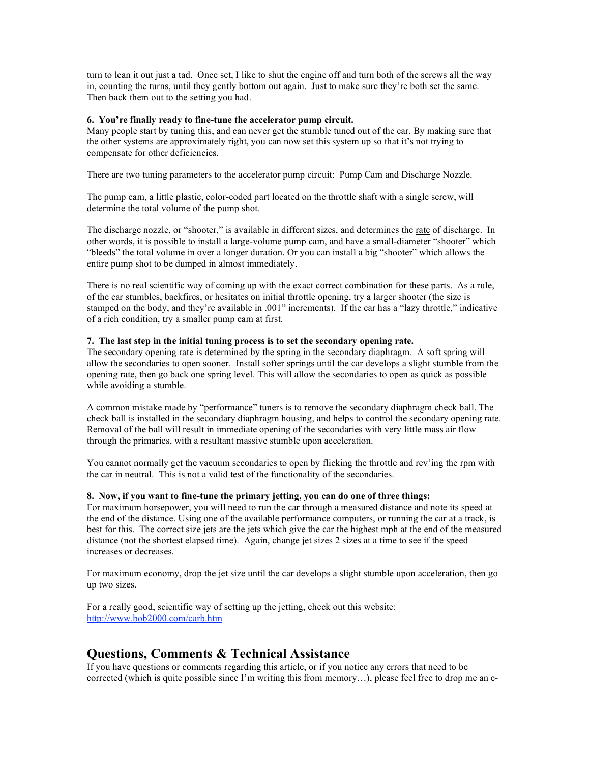turn to lean it out just a tad. Once set, I like to shut the engine off and turn both of the screws all the way in, counting the turns, until they gently bottom out again. Just to make sure they're both set the same. Then back them out to the setting you had.

### **6. You're finally ready to fine-tune the accelerator pump circuit.**

Many people start by tuning this, and can never get the stumble tuned out of the car. By making sure that the other systems are approximately right, you can now set this system up so that it's not trying to compensate for other deficiencies.

There are two tuning parameters to the accelerator pump circuit: Pump Cam and Discharge Nozzle.

The pump cam, a little plastic, color-coded part located on the throttle shaft with a single screw, will determine the total volume of the pump shot.

The discharge nozzle, or "shooter," is available in different sizes, and determines the rate of discharge. In other words, it is possible to install a large-volume pump cam, and have a small-diameter "shooter" which "bleeds" the total volume in over a longer duration. Or you can install a big "shooter" which allows the entire pump shot to be dumped in almost immediately.

There is no real scientific way of coming up with the exact correct combination for these parts. As a rule, of the car stumbles, backfires, or hesitates on initial throttle opening, try a larger shooter (the size is stamped on the body, and they're available in .001" increments). If the car has a "lazy throttle," indicative of a rich condition, try a smaller pump cam at first.

### **7. The last step in the initial tuning process is to set the secondary opening rate.**

The secondary opening rate is determined by the spring in the secondary diaphragm. A soft spring will allow the secondaries to open sooner. Install softer springs until the car develops a slight stumble from the opening rate, then go back one spring level. This will allow the secondaries to open as quick as possible while avoiding a stumble.

A common mistake made by "performance" tuners is to remove the secondary diaphragm check ball. The check ball is installed in the secondary diaphragm housing, and helps to control the secondary opening rate. Removal of the ball will result in immediate opening of the secondaries with very little mass air flow through the primaries, with a resultant massive stumble upon acceleration.

You cannot normally get the vacuum secondaries to open by flicking the throttle and rev'ing the rpm with the car in neutral. This is not a valid test of the functionality of the secondaries.

### **8. Now, if you want to fine-tune the primary jetting, you can do one of three things:**

For maximum horsepower, you will need to run the car through a measured distance and note its speed at the end of the distance. Using one of the available performance computers, or running the car at a track, is best for this. The correct size jets are the jets which give the car the highest mph at the end of the measured distance (not the shortest elapsed time). Again, change jet sizes 2 sizes at a time to see if the speed increases or decreases.

For maximum economy, drop the jet size until the car develops a slight stumble upon acceleration, then go up two sizes.

For a really good, scientific way of setting up the jetting, check out this website: http://www.bob2000.com/carb.htm

### **Questions, Comments & Technical Assistance**

If you have questions or comments regarding this article, or if you notice any errors that need to be corrected (which is quite possible since I'm writing this from memory…), please feel free to drop me an e